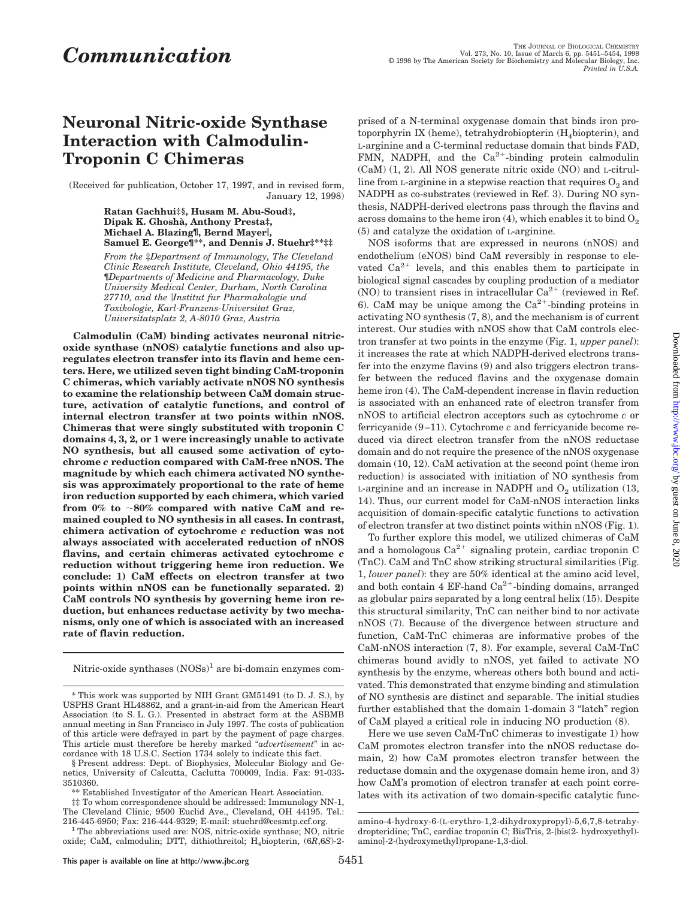# **Neuronal Nitric-oxide Synthase Interaction with Calmodulin-Troponin C Chimeras**

(Received for publication, October 17, 1997, and in revised form, January 12, 1998)

> **Ratan Gachhui‡§, Husam M. Abu-Soud‡, Dipak K. Ghosha`, Anthony Presta‡, Michael A. Blazing¶, Bernd Mayer**i**, Samuel E. George¶\*\*, and Dennis J. Stuehr‡\*\*‡‡**

> *From the* ‡*Department of Immunology, The Cleveland Clinic Research Institute, Cleveland, Ohio 44195, the* ¶*Departments of Medicine and Pharmacology, Duke University Medical Center, Durham, North Carolina 27710, and the* i*Institut fur Pharmakologie und Toxikologie, Karl-Franzens-Universitat Graz, Universitatsplatz 2, A-8010 Graz, Austria*

**Calmodulin (CaM) binding activates neuronal nitricoxide synthase (nNOS) catalytic functions and also upregulates electron transfer into its flavin and heme centers. Here, we utilized seven tight binding CaM-troponin C chimeras, which variably activate nNOS NO synthesis to examine the relationship between CaM domain structure, activation of catalytic functions, and control of internal electron transfer at two points within nNOS. Chimeras that were singly substituted with troponin C domains 4, 3, 2, or 1 were increasingly unable to activate NO synthesis, but all caused some activation of cytochrome** *c* **reduction compared with CaM-free nNOS. The magnitude by which each chimera activated NO synthesis was approximately proportional to the rate of heme iron reduction supported by each chimera, which varied** from 0% to ~80% compared with native CaM and re**mained coupled to NO synthesis in all cases. In contrast, chimera activation of cytochrome** *c* **reduction was not always associated with accelerated reduction of nNOS flavins, and certain chimeras activated cytochrome** *c* **reduction without triggering heme iron reduction. We conclude: 1) CaM effects on electron transfer at two points within nNOS can be functionally separated. 2) CaM controls NO synthesis by governing heme iron reduction, but enhances reductase activity by two mechanisms, only one of which is associated with an increased rate of flavin reduction.**

Nitric-oxide synthases  $(NOSs)^1$  are bi-domain enzymes com-

prised of a N-terminal oxygenase domain that binds iron protoporphyrin IX (heme), tetrahydrobiopterin  $(H<sub>4</sub>biopterin)$ , and L-arginine and a C-terminal reductase domain that binds FAD, FMN, NADPH, and the  $Ca^{2+}$ -binding protein calmodulin (CaM) (1, 2). All NOS generate nitric oxide (NO) and L-citrulline from L-arginine in a stepwise reaction that requires  $O_2$  and NADPH as co-substrates (reviewed in Ref. 3). During NO synthesis, NADPH-derived electrons pass through the flavins and across domains to the heme iron (4), which enables it to bind  $O_2$ (5) and catalyze the oxidation of L-arginine.

NOS isoforms that are expressed in neurons (nNOS) and endothelium (eNOS) bind CaM reversibly in response to elevated  $Ca^{2+}$  levels, and this enables them to participate in biological signal cascades by coupling production of a mediator (NO) to transient rises in intracellular  $Ca^{2+}$  (reviewed in Ref. 6). CaM may be unique among the  $Ca^{2+}$ -binding proteins in activating NO synthesis (7, 8), and the mechanism is of current interest. Our studies with nNOS show that CaM controls electron transfer at two points in the enzyme (Fig. 1, *upper panel*): it increases the rate at which NADPH-derived electrons transfer into the enzyme flavins (9) and also triggers electron transfer between the reduced flavins and the oxygenase domain heme iron (4). The CaM-dependent increase in flavin reduction is associated with an enhanced rate of electron transfer from nNOS to artificial electron acceptors such as cytochrome *c* or ferricyanide (9–11). Cytochrome *c* and ferricyanide become reduced via direct electron transfer from the nNOS reductase domain and do not require the presence of the nNOS oxygenase domain (10, 12). CaM activation at the second point (heme iron reduction) is associated with initiation of NO synthesis from L-arginine and an increase in NADPH and  $O<sub>2</sub>$  utilization (13, 14). Thus, our current model for CaM-nNOS interaction links acquisition of domain-specific catalytic functions to activation of electron transfer at two distinct points within nNOS (Fig. 1).

To further explore this model, we utilized chimeras of CaM and a homologous  $Ca^{2+}$  signaling protein, cardiac troponin C (TnC). CaM and TnC show striking structural similarities (Fig. 1, *lower panel*): they are 50% identical at the amino acid level, and both contain 4 EF-hand  $Ca^{2+}$ -binding domains, arranged as globular pairs separated by a long central helix (15). Despite this structural similarity, TnC can neither bind to nor activate nNOS (7). Because of the divergence between structure and function, CaM-TnC chimeras are informative probes of the CaM-nNOS interaction (7, 8). For example, several CaM-TnC chimeras bound avidly to nNOS, yet failed to activate NO synthesis by the enzyme, whereas others both bound and activated. This demonstrated that enzyme binding and stimulation of NO synthesis are distinct and separable. The initial studies further established that the domain 1-domain 3 "latch" region of CaM played a critical role in inducing NO production (8).

Here we use seven CaM-TnC chimeras to investigate 1) how CaM promotes electron transfer into the nNOS reductase domain, 2) how CaM promotes electron transfer between the reductase domain and the oxygenase domain heme iron, and 3) how CaM's promotion of electron transfer at each point correlates with its activation of two domain-specific catalytic func-

<sup>\*</sup> This work was supported by NIH Grant GM51491 (to D. J. S.), by USPHS Grant HL48862, and a grant-in-aid from the American Heart Association (to S. L. G.). Presented in abstract form at the ASBMB annual meeting in San Francisco in July 1997. The costs of publication of this article were defrayed in part by the payment of page charges. This article must therefore be hereby marked "*advertisement*" in accordance with 18 U.S.C. Section 1734 solely to indicate this fact.

<sup>§</sup> Present address: Dept. of Biophysics, Molecular Biology and Genetics, University of Calcutta, Caclutta 700009, India. Fax: 91-033- 3510360.

<sup>\*\*</sup> Established Investigator of the American Heart Association.

<sup>‡‡</sup> To whom correspondence should be addressed: Immunology NN-1, The Cleveland Clinic, 9500 Euclid Ave., Cleveland, OH 44195. Tel.:<br>216-445-6950; Fax: 216-444-9329; E-mail: stuehrd@cesmtp.ccf.org.

<sup>&</sup>lt;sup>1</sup> The abbreviations used are: NOS, nitric-oxide synthase; NO, nitricoxide; CaM, calmodulin; DTT, dithiothreitol; H4biopterin, (6*R*,6*S*)-2-

amino-4-hydroxy-6-(L-erythro-1,2-dihydroxypropyl)-5,6,7,8-tetrahydropteridine; TnC, cardiac troponin C; BisTris, 2-[bis(2- hydroxyethyl) amino]-2-(hydroxymethyl)propane-1,3-diol.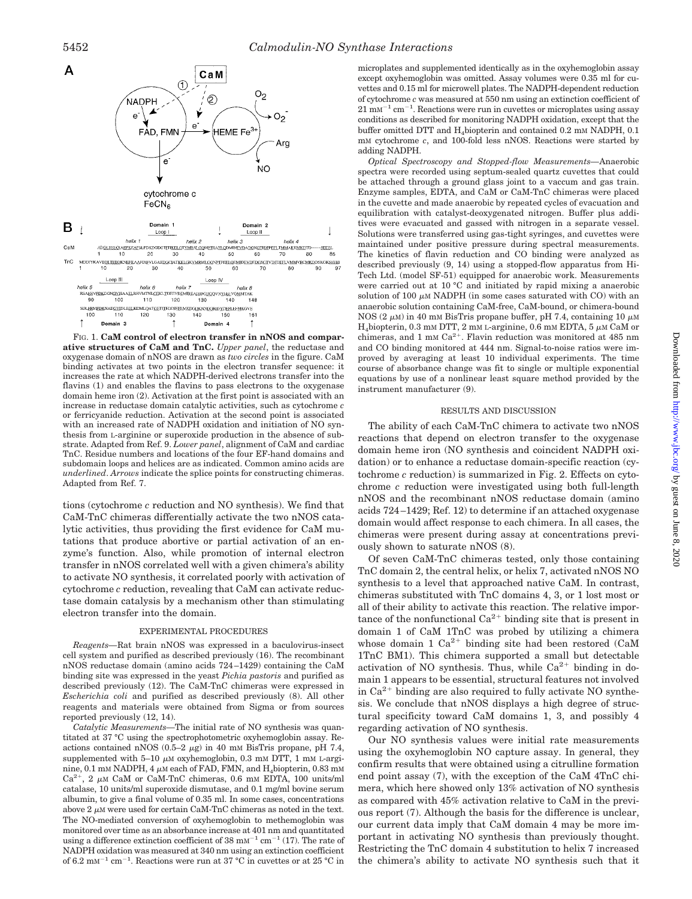

FIG. 1. **CaM control of electron transfer in nNOS and comparative structures of CaM and TnC.** *Upper panel*, the reductase and oxygenase domain of nNOS are drawn as *two circles* in the figure. CaM binding activates at two points in the electron transfer sequence: it increases the rate at which NADPH-derived electrons transfer into the flavins (1) and enables the flavins to pass electrons to the oxygenase domain heme iron (2). Activation at the first point is associated with an increase in reductase domain catalytic activities, such as cytochrome *c* or ferricyanide reduction. Activation at the second point is associated with an increased rate of NADPH oxidation and initiation of NO synthesis from L-arginine or superoxide production in the absence of substrate. Adapted from Ref. 9. *Lower panel*, alignment of CaM and cardiac TnC. Residue numbers and locations of the four EF-hand domains and subdomain loops and helices are as indicated. Common amino acids are *underlined*. *Arrows* indicate the splice points for constructing chimeras. Adapted from Ref. 7.

tions (cytochrome *c* reduction and NO synthesis). We find that CaM-TnC chimeras differentially activate the two nNOS catalytic activities, thus providing the first evidence for CaM mutations that produce abortive or partial activation of an enzyme's function. Also, while promotion of internal electron transfer in nNOS correlated well with a given chimera's ability to activate NO synthesis, it correlated poorly with activation of cytochrome *c* reduction, revealing that CaM can activate reductase domain catalysis by a mechanism other than stimulating electron transfer into the domain.

### EXPERIMENTAL PROCEDURES

*Reagents—*Rat brain nNOS was expressed in a baculovirus-insect cell system and purified as described previously (16). The recombinant nNOS reductase domain (amino acids 724–1429) containing the CaM binding site was expressed in the yeast *Pichia pastoris* and purified as described previously (12). The CaM-TnC chimeras were expressed in *Escherichia coli* and purified as described previously (8). All other reagents and materials were obtained from Sigma or from sources reported previously (12, 14).

*Catalytic Measurements—*The initial rate of NO synthesis was quantitated at 37 °C using the spectrophotometric oxyhemoglobin assay. Reactions contained nNOS (0.5–2  $\mu$ g) in 40 mM BisTris propane, pH 7.4, supplemented with  $5-10 \mu M$  oxyhemoglobin, 0.3 mM DTT, 1 mM L-arginine, 0.1 mM NADPH, 4  $\mu$ M each of FAD, FMN, and H<sub>4</sub>biopterin, 0.83 mM  $Ca^{2+}$ , 2  $\mu$ M CaM or CaM-TnC chimeras, 0.6 mM EDTA, 100 units/ml catalase, 10 units/ml superoxide dismutase, and 0.1 mg/ml bovine serum albumin, to give a final volume of 0.35 ml. In some cases, concentrations above  $2 \mu$ M were used for certain CaM-TnC chimeras as noted in the text. The NO-mediated conversion of oxyhemoglobin to methemoglobin was monitored over time as an absorbance increase at 401 nm and quantitated using a difference extinction coefficient of 38  $mm^{-1}$  cm<sup>-1</sup> (17). The rate of NADPH oxidation was measured at 340 nm using an extinction coefficient of 6.2  $\text{m}$ M<sup>-1</sup> cm<sup>-1</sup>. Reactions were run at 37 °C in cuvettes or at 25 °C in

microplates and supplemented identically as in the oxyhemoglobin assay except oxyhemoglobin was omitted. Assay volumes were 0.35 ml for cuvettes and 0.15 ml for microwell plates. The NADPH-dependent reduction of cytochrome *c* was measured at 550 nm using an extinction coefficient of  $21 \text{ mm}^{-1} \text{ cm}^{-1}$ . Reactions were run in cuvettes or microplates using assay conditions as described for monitoring NADPH oxidation, except that the buffer omitted DTT and H<sub>4</sub>biopterin and contained 0.2 mM NADPH, 0.1 mM cytochrome *c*, and 100-fold less nNOS. Reactions were started by adding NADPH.

*Optical Spectroscopy and Stopped-flow Measurements—*Anaerobic spectra were recorded using septum-sealed quartz cuvettes that could be attached through a ground glass joint to a vaccum and gas train. Enzyme samples, EDTA, and CaM or CaM-TnC chimeras were placed in the cuvette and made anaerobic by repeated cycles of evacuation and equilibration with catalyst-deoxygenated nitrogen. Buffer plus additives were evacuated and gassed with nitrogen in a separate vessel. Solutions were transferred using gas-tight syringes, and cuvettes were maintained under positive pressure during spectral measurements. The kinetics of flavin reduction and CO binding were analyzed as described previously (9, 14) using a stopped-flow apparatus from Hi-Tech Ltd. (model SF-51) equipped for anaerobic work. Measurements were carried out at 10 °C and initiated by rapid mixing a anaerobic solution of 100  $\mu$ M NADPH (in some cases saturated with CO) with an anaerobic solution containing CaM-free, CaM-bound, or chimera-bound NOS (2  $\mu$ M) in 40 mM BisTris propane buffer, pH 7.4, containing 10  $\mu$ M  $H_4$ biopterin, 0.3 mM DTT, 2 mM L-arginine, 0.6 mM EDTA, 5  $\mu$ M CaM or chimeras, and 1 mM  $Ca^{2+}$ . Flavin reduction was monitored at 485 nm and CO binding monitored at 444 nm. Signal-to-noise ratios were improved by averaging at least 10 individual experiments. The time course of absorbance change was fit to single or multiple exponential equations by use of a nonlinear least square method provided by the instrument manufacturer (9).

#### RESULTS AND DISCUSSION

The ability of each CaM-TnC chimera to activate two nNOS reactions that depend on electron transfer to the oxygenase domain heme iron (NO synthesis and coincident NADPH oxidation) or to enhance a reductase domain-specific reaction (cytochrome *c* reduction) is summarized in Fig. 2. Effects on cytochrome *c* reduction were investigated using both full-length nNOS and the recombinant nNOS reductase domain (amino acids 724–1429; Ref. 12) to determine if an attached oxygenase domain would affect response to each chimera. In all cases, the chimeras were present during assay at concentrations previously shown to saturate nNOS (8).

Of seven CaM-TnC chimeras tested, only those containing TnC domain 2, the central helix, or helix 7, activated nNOS NO synthesis to a level that approached native CaM. In contrast, chimeras substituted with TnC domains 4, 3, or 1 lost most or all of their ability to activate this reaction. The relative importance of the nonfunctional  $Ca^{2+}$  binding site that is present in domain 1 of CaM 1TnC was probed by utilizing a chimera whose domain 1  $Ca^{2+}$  binding site had been restored (CaM 1TnC BM1). This chimera supported a small but detectable activation of NO synthesis. Thus, while  $Ca^{2+}$  binding in domain 1 appears to be essential, structural features not involved in  $Ca^{2+}$  binding are also required to fully activate NO synthesis. We conclude that nNOS displays a high degree of structural specificity toward CaM domains 1, 3, and possibly 4 regarding activation of NO synthesis.

Our NO synthesis values were initial rate measurements using the oxyhemoglobin NO capture assay. In general, they confirm results that were obtained using a citrulline formation end point assay (7), with the exception of the CaM 4TnC chimera, which here showed only 13% activation of NO synthesis as compared with 45% activation relative to CaM in the previous report (7). Although the basis for the difference is unclear, our current data imply that CaM domain 4 may be more important in activating NO synthesis than previously thought. Restricting the TnC domain 4 substitution to helix 7 increased the chimera's ability to activate NO synthesis such that it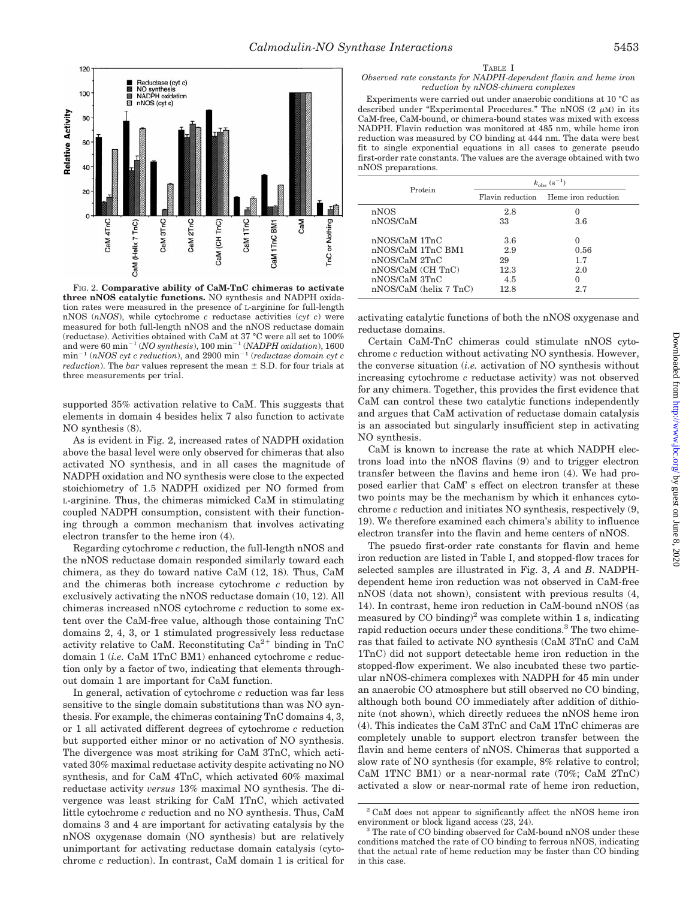

FIG. 2. **Comparative ability of CaM-TnC chimeras to activate three nNOS catalytic functions.** NO synthesis and NADPH oxidation rates were measured in the presence of L-arginine for full-length nNOS (*nNOS*), while cytochrome *c* reductase activities (*cyt c*) were measured for both full-length nNOS and the nNOS reductase domain (reductase). Activities obtained with CaM at 37 °C were all set to 100% and were 60 min<sup>-1</sup> (*NO synthesis*), 100 min<sup>-1</sup> (*NADPH oxidation*), 1600  $min^{-1}$  (*nNOS cyt c reduction*), and 2900  $min^{-1}$  (*reductase domain cyt c reduction*). The *bar* values represent the mean  $\pm$  S.D. for four trials at three measurements per trial.

supported 35% activation relative to CaM. This suggests that elements in domain 4 besides helix 7 also function to activate NO synthesis (8).

As is evident in Fig. 2, increased rates of NADPH oxidation above the basal level were only observed for chimeras that also activated NO synthesis, and in all cases the magnitude of NADPH oxidation and NO synthesis were close to the expected stoichiometry of 1.5 NADPH oxidized per NO formed from L-arginine. Thus, the chimeras mimicked CaM in stimulating coupled NADPH consumption, consistent with their functioning through a common mechanism that involves activating electron transfer to the heme iron (4).

Regarding cytochrome *c* reduction, the full-length nNOS and the nNOS reductase domain responded similarly toward each chimera, as they do toward native CaM (12, 18). Thus, CaM and the chimeras both increase cytochrome *c* reduction by exclusively activating the nNOS reductase domain (10, 12). All chimeras increased nNOS cytochrome *c* reduction to some extent over the CaM-free value, although those containing TnC domains 2, 4, 3, or 1 stimulated progressively less reductase activity relative to CaM. Reconstituting  $Ca^{2+}$  binding in TnC domain 1 (*i.e.* CaM 1TnC BM1) enhanced cytochrome *c* reduction only by a factor of two, indicating that elements throughout domain 1 are important for CaM function.

In general, activation of cytochrome *c* reduction was far less sensitive to the single domain substitutions than was NO synthesis. For example, the chimeras containing TnC domains 4, 3, or 1 all activated different degrees of cytochrome *c* reduction but supported either minor or no activation of NO synthesis. The divergence was most striking for CaM 3TnC, which activated 30% maximal reductase activity despite activating no NO synthesis, and for CaM 4TnC, which activated 60% maximal reductase activity *versus* 13% maximal NO synthesis. The divergence was least striking for CaM 1TnC, which activated little cytochrome *c* reduction and no NO synthesis. Thus, CaM domains 3 and 4 are important for activating catalysis by the nNOS oxygenase domain (NO synthesis) but are relatively unimportant for activating reductase domain catalysis (cytochrome *c* reduction). In contrast, CaM domain 1 is critical for

*Observed rate constants for NADPH-dependent flavin and heme iron reduction by nNOS-chimera complexes*

Experiments were carried out under anaerobic conditions at 10 °C as described under "Experimental Procedures." The nNOS  $(2 \mu M)$  in its CaM-free, CaM-bound, or chimera-bound states was mixed with excess NADPH. Flavin reduction was monitored at 485 nm, while heme iron reduction was measured by CO binding at 444 nm. The data were best fit to single exponential equations in all cases to generate pseudo first-order rate constants. The values are the average obtained with two nNOS preparations.

| Protein                                                                                                                 | $k_{\rm obs}$ (s <sup>-1</sup> )        |                                                   |  |
|-------------------------------------------------------------------------------------------------------------------------|-----------------------------------------|---------------------------------------------------|--|
|                                                                                                                         | Flavin reduction                        | Heme iron reduction                               |  |
| nNOS                                                                                                                    | 2.8                                     |                                                   |  |
| nNOS/CaM                                                                                                                | 33                                      | 3.6                                               |  |
| nNOS/CaM 1TnC<br>nNOS/CaM 1TnC BM1<br>nNOS/CaM 2TnC<br>nNOS/CaM (CH TnC)<br>nNOS/CaM 3TnC<br>$nNOS/CaM$ (helix $7$ TnC) | 3.6<br>2.9<br>29<br>12.3<br>4.5<br>12.8 | $\Omega$<br>0.56<br>1.7<br>2.0<br>$\theta$<br>2.7 |  |

activating catalytic functions of both the nNOS oxygenase and reductase domains.

Certain CaM-TnC chimeras could stimulate nNOS cytochrome *c* reduction without activating NO synthesis. However, the converse situation (*i.e.* activation of NO synthesis without increasing cytochrome *c* reductase activity) was not observed for any chimera. Together, this provides the first evidence that CaM can control these two catalytic functions independently and argues that CaM activation of reductase domain catalysis is an associated but singularly insufficient step in activating NO synthesis.

CaM is known to increase the rate at which NADPH electrons load into the nNOS flavins (9) and to trigger electron transfer between the flavins and heme iron (4). We had proposed earlier that CaM' s effect on electron transfer at these two points may be the mechanism by which it enhances cytochrome *c* reduction and initiates NO synthesis, respectively (9, 19). We therefore examined each chimera's ability to influence electron transfer into the flavin and heme centers of nNOS.

The psuedo first-order rate constants for flavin and heme iron reduction are listed in Table I, and stopped-flow traces for selected samples are illustrated in Fig. 3, *A* and *B*. NADPHdependent heme iron reduction was not observed in CaM-free nNOS (data not shown), consistent with previous results (4, 14). In contrast, heme iron reduction in CaM-bound nNOS (as measured by CO binding)<sup>2</sup> was complete within 1 s, indicating rapid reduction occurs under these conditions.<sup>3</sup> The two chimeras that failed to activate NO synthesis (CaM 3TnC and CaM 1TnC) did not support detectable heme iron reduction in the stopped-flow experiment. We also incubated these two particular nNOS-chimera complexes with NADPH for 45 min under an anaerobic CO atmosphere but still observed no CO binding, although both bound CO immediately after addition of dithionite (not shown), which directly reduces the nNOS heme iron (4). This indicates the CaM 3TnC and CaM 1TnC chimeras are completely unable to support electron transfer between the flavin and heme centers of nNOS. Chimeras that supported a slow rate of NO synthesis (for example, 8% relative to control; CaM 1TNC BM1) or a near-normal rate (70%; CaM 2TnC) activated a slow or near-normal rate of heme iron reduction,

 $^{2}$  CaM does not appear to significantly affect the nNOS heme iron environment or block ligand access (23, 24).

The rate of CO binding observed for CaM-bound nNOS under these conditions matched the rate of CO binding to ferrous nNOS, indicating that the actual rate of heme reduction may be faster than CO binding in this case.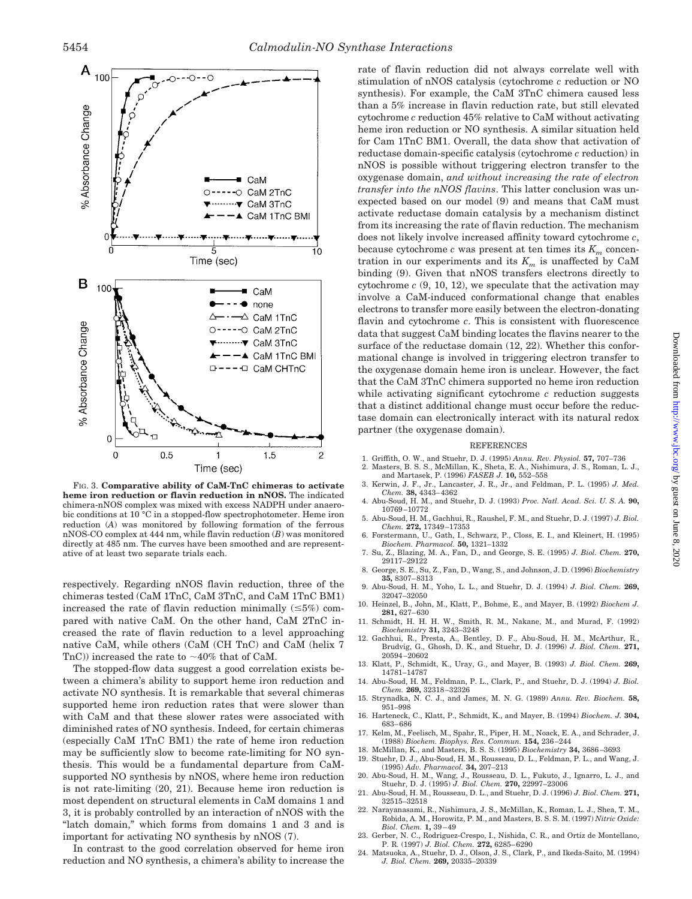

FIG. 3. **Comparative ability of CaM-TnC chimeras to activate heme iron reduction or flavin reduction in nNOS.** The indicated chimera-nNOS complex was mixed with excess NADPH under anaerobic conditions at 10 °C in a stopped-flow spectrophotometer. Heme iron reduction (*A*) was monitored by following formation of the ferrous nNOS-CO complex at 444 nm, while flavin reduction (*B*) was monitored directly at 485 nm. The curves have been smoothed and are representative of at least two separate trials each.

respectively. Regarding nNOS flavin reduction, three of the chimeras tested (CaM 1TnC, CaM 3TnC, and CaM 1TnC BM1) increased the rate of flavin reduction minimally  $(\leq 5\%)$  compared with native CaM. On the other hand, CaM 2TnC increased the rate of flavin reduction to a level approaching native CaM, while others (CaM (CH TnC) and CaM (helix 7 TnC)) increased the rate to  $\sim$ 40% that of CaM.

The stopped-flow data suggest a good correlation exists between a chimera's ability to support heme iron reduction and activate NO synthesis. It is remarkable that several chimeras supported heme iron reduction rates that were slower than with CaM and that these slower rates were associated with diminished rates of NO synthesis. Indeed, for certain chimeras (especially CaM 1TnC BM1) the rate of heme iron reduction may be sufficiently slow to become rate-limiting for NO synthesis. This would be a fundamental departure from CaMsupported NO synthesis by nNOS, where heme iron reduction is not rate-limiting (20, 21). Because heme iron reduction is most dependent on structural elements in CaM domains 1 and 3, it is probably controlled by an interaction of nNOS with the "latch domain," which forms from domains 1 and 3 and is important for activating NO synthesis by nNOS (7).

In contrast to the good correlation observed for heme iron reduction and NO synthesis, a chimera's ability to increase the rate of flavin reduction did not always correlate well with stimulation of nNOS catalysis (cytochrome *c* reduction or NO synthesis). For example, the CaM 3TnC chimera caused less than a 5% increase in flavin reduction rate, but still elevated cytochrome *c* reduction 45% relative to CaM without activating heme iron reduction or NO synthesis. A similar situation held for Cam 1TnC BM1. Overall, the data show that activation of reductase domain-specific catalysis (cytochrome *c* reduction) in nNOS is possible without triggering electron transfer to the oxygenase domain, *and without increasing the rate of electron transfer into the nNOS flavins*. This latter conclusion was unexpected based on our model (9) and means that CaM must activate reductase domain catalysis by a mechanism distinct from its increasing the rate of flavin reduction. The mechanism does not likely involve increased affinity toward cytochrome *c*, because cytochrome *c* was present at ten times its  $K_m$  concentration in our experiments and its  $K_m$  is unaffected by CaM binding (9). Given that nNOS transfers electrons directly to cytochrome *c* (9, 10, 12), we speculate that the activation may involve a CaM-induced conformational change that enables electrons to transfer more easily between the electron-donating flavin and cytochrome *c*. This is consistent with fluorescence data that suggest CaM binding locates the flavins nearer to the surface of the reductase domain (12, 22). Whether this conformational change is involved in triggering electron transfer to the oxygenase domain heme iron is unclear. However, the fact that the CaM 3TnC chimera supported no heme iron reduction while activating significant cytochrome *c* reduction suggests that a distinct additional change must occur before the reductase domain can electronically interact with its natural redox partner (the oxygenase domain).

#### REFERENCES

- 1. Griffith, O. W., and Stuehr, D. J. (1995) *Annu. Rev. Physiol.* **57,** 707–736 2. Masters, B. S. S., McMillan, K., Sheta, E. A., Nishimura, J. S., Roman, L. J.,
- and Martasek, P. (1996) *FASEB J.* **10,** 552–558 3. Kerwin, J. F., Jr., Lancaster, J. R., Jr., and Feldman, P. L. (1995) *J. Med. Chem.* **38,** 4343–4362
- 4. Abu-Soud, H. M., and Stuehr, D. J. (1993) *Proc. Natl. Acad. Sci. U. S. A.* **90,** 10769–10772
- 5. Abu-Soud, H. M., Gachhui, R., Raushel, F. M., and Stuehr, D. J. (1997) *J. Biol. Chem.* **272,** 17349–17353
- 6. Forstermann, U., Gath, I., Schwarz, P., Closs, E. I., and Kleinert, H. (1995) *Biochem. Pharmacol.* **50,** 1321–1332 7. Su, Z., Blazing, M. A., Fan, D., and George, S. E. (1995) *J. Biol. Chem.* **270,**
- 29117–29122 8. George, S. E., Su, Z., Fan, D., Wang, S., and Johnson, J. D. (1996) *Biochemistry*
- **35,** 8307–8313 9. Abu-Soud, H. M., Yoho, L. L., and Stuehr, D. J. (1994) *J. Biol. Chem.* **269,** 32047–32050
- 10. Heinzel, B., John, M., Klatt, P., Bohme, E., and Mayer, B. (1992) *Biochem J.* **281,** 627–630
- 11. Schmidt, H. H. H. W., Smith, R. M., Nakane, M., and Murad, F. (1992) *Biochemistry* **31,** 3243–3248
- 12. Gachhui, R., Presta, A., Bentley, D. F., Abu-Soud, H. M., McArthur, R., Brudvig, G., Ghosh, D. K., and Stuehr, D. J. (1996) *J. Biol. Chem.* **271,** 20594–20602
- 13. Klatt, P., Schmidt, K., Uray, G., and Mayer, B. (1993) *J. Biol. Chem.* **269,** 14781–14787
- 14. Abu-Soud, H. M., Feldman, P. L., Clark, P., and Stuehr, D. J. (1994) *J. Biol. Chem.* **269,** 32318–32326
- 15. Strynadka, N. C. J., and James, M. N. G. (1989) *Annu. Rev. Biochem.* **58,** 951–998
- 16. Harteneck, C., Klatt, P., Schmidt, K., and Mayer, B. (1994) *Biochem. J.* **304,** 683–686
- 17. Kelm, M., Feelisch, M., Spahr, R., Piper, H. M., Noack, E. A., and Schrader, J. (1988) *Biochem. Biophys. Res. Commun.* **154,** 236–244
- 18. McMillan, K., and Masters, B. S. S. (1995) *Biochemistry* **34,** 3686–3693
- 19. Stuehr, D. J., Abu-Soud, H. M., Rousseau, D. L., Feldman, P. L., and Wang, J. (1995) *Adv. Pharmacol.* **34,** 207–213
- 20. Abu-Soud, H. M., Wang, J., Rousseau, D. L., Fukuto, J., Ignarro, L. J., and Stuehr, D. J. (1995) *J. Biol. Chem.* **270,** 22997–23006
- 21. Abu-Soud, H. M., Rousseau, D. L., and Stuehr, D. J. (1996) *J. Biol. Chem.* **271,** 32515–32518
- 22. Narayanasami, R., Nishimura, J. S., McMillan, K., Roman, L. J., Shea, T. M., Robida, A. M., Horowitz, P. M., and Masters, B. S. S. M. (1997) *Nitric Oxide: Biol. Chem.* **1,** 39–49
- 23. Gerber, N. C., Rodriguez-Crespo, I., Nishida, C. R., and Ortiz de Montellano, P. R. (1997) *J. Biol. Chem.* **272,** 6285–6290
- 24. Matsuoka, A., Stuehr, D. J., Olson, J. S., Clark, P., and Ikeda-Saito, M. (1994) *J. Biol. Chem.* **269,** 20335–20339